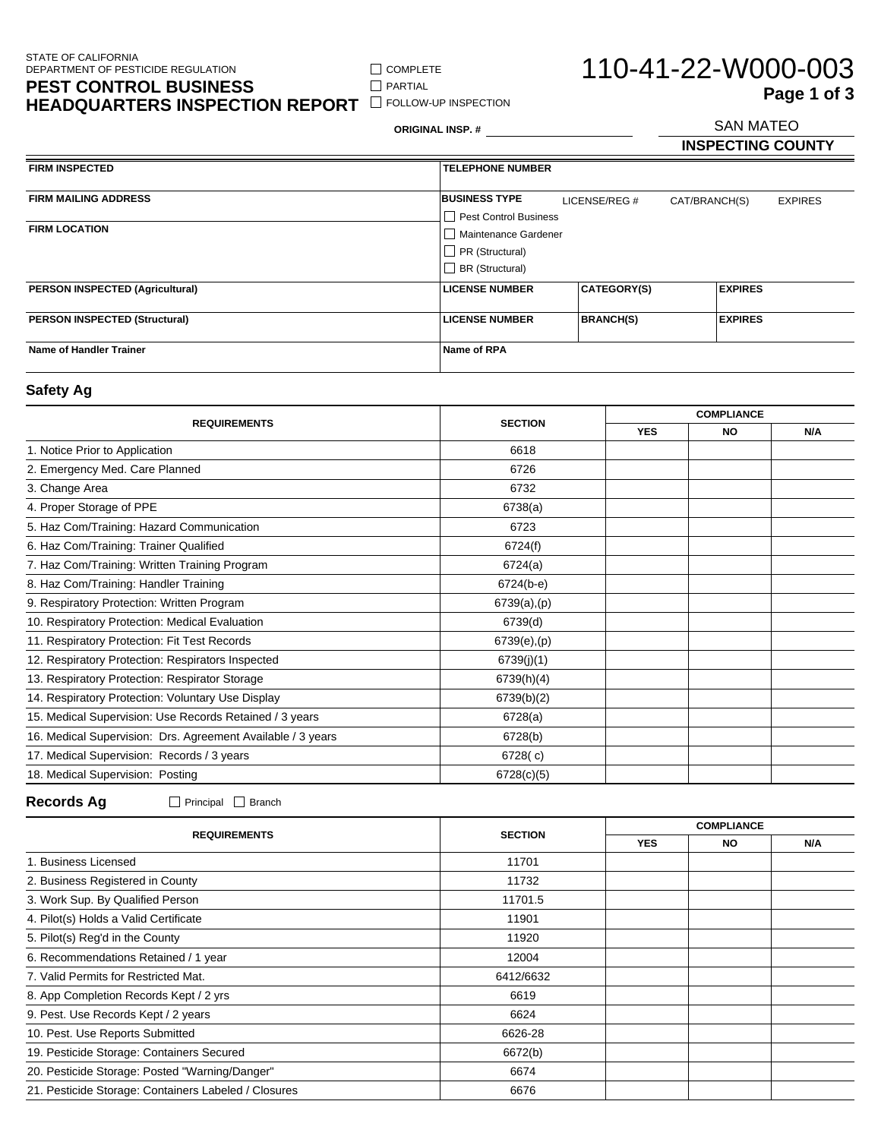$\Box$  COMPLETE  $\hfill\Box$ <br> <br> PARTIAL

**HEADQUARTERS INSPECTION REPORT** FOLLOW-UP INSPECTION

# 110-41-22-W000-003 SAN MATEO **Page 1 of 3**

**ORIGINAL INSP. #**

**INSPECTING COUNTY**

| <b>FIRM INSPECTED</b>                  | <b>TELEPHONE NUMBER</b> |                    |               |                |                |
|----------------------------------------|-------------------------|--------------------|---------------|----------------|----------------|
|                                        |                         |                    |               |                |                |
| <b>FIRM MAILING ADDRESS</b>            | <b>BUSINESS TYPE</b>    | LICENSE/REG #      | CAT/BRANCH(S) |                | <b>EXPIRES</b> |
|                                        | Pest Control Business   |                    |               |                |                |
| <b>FIRM LOCATION</b>                   | Maintenance Gardener    |                    |               |                |                |
|                                        | PR (Structural)         |                    |               |                |                |
|                                        | $\Box$ BR (Structural)  |                    |               |                |                |
| <b>PERSON INSPECTED (Agricultural)</b> | <b>LICENSE NUMBER</b>   | <b>CATEGORY(S)</b> |               | <b>EXPIRES</b> |                |
|                                        |                         |                    |               |                |                |
| <b>PERSON INSPECTED (Structural)</b>   | <b>LICENSE NUMBER</b>   | <b>BRANCH(S)</b>   |               | <b>EXPIRES</b> |                |
|                                        |                         |                    |               |                |                |
| <b>Name of Handler Trainer</b>         | Name of RPA             |                    |               |                |                |
|                                        |                         |                    |               |                |                |

### **Safety Ag**

| <b>REQUIREMENTS</b>                                         | <b>SECTION</b>  | <b>COMPLIANCE</b> |           |     |
|-------------------------------------------------------------|-----------------|-------------------|-----------|-----|
|                                                             |                 | <b>YES</b>        | <b>NO</b> | N/A |
| 1. Notice Prior to Application                              | 6618            |                   |           |     |
| 2. Emergency Med. Care Planned                              | 6726            |                   |           |     |
| 3. Change Area                                              | 6732            |                   |           |     |
| 4. Proper Storage of PPE                                    | 6738(a)         |                   |           |     |
| 5. Haz Com/Training: Hazard Communication                   | 6723            |                   |           |     |
| 6. Haz Com/Training: Trainer Qualified                      | 6724(f)         |                   |           |     |
| 7. Haz Com/Training: Written Training Program               | 6724(a)         |                   |           |     |
| 8. Haz Com/Training: Handler Training                       | 6724(b-e)       |                   |           |     |
| 9. Respiratory Protection: Written Program                  | 6739(a),(p)     |                   |           |     |
| 10. Respiratory Protection: Medical Evaluation              | 6739(d)         |                   |           |     |
| 11. Respiratory Protection: Fit Test Records                | $6739(e)$ , (p) |                   |           |     |
| 12. Respiratory Protection: Respirators Inspected           | 6739(j)(1)      |                   |           |     |
| 13. Respiratory Protection: Respirator Storage              | 6739(h)(4)      |                   |           |     |
| 14. Respiratory Protection: Voluntary Use Display           | 6739(b)(2)      |                   |           |     |
| 15. Medical Supervision: Use Records Retained / 3 years     | 6728(a)         |                   |           |     |
| 16. Medical Supervision: Drs. Agreement Available / 3 years | 6728(b)         |                   |           |     |
| 17. Medical Supervision: Records / 3 years                  | 6728(c)         |                   |           |     |
| 18. Medical Supervision: Posting                            | 6728(c)(5)      |                   |           |     |

**Records Ag** Principal Branch

| <b>SECTION</b> |            |     |                   |  |
|----------------|------------|-----|-------------------|--|
|                | <b>YES</b> | NO. | N/A               |  |
| 11701          |            |     |                   |  |
| 11732          |            |     |                   |  |
| 11701.5        |            |     |                   |  |
| 11901          |            |     |                   |  |
| 11920          |            |     |                   |  |
| 12004          |            |     |                   |  |
| 6412/6632      |            |     |                   |  |
| 6619           |            |     |                   |  |
| 6624           |            |     |                   |  |
| 6626-28        |            |     |                   |  |
| 6672(b)        |            |     |                   |  |
| 6674           |            |     |                   |  |
| 6676           |            |     |                   |  |
|                |            |     | <b>COMPLIANCE</b> |  |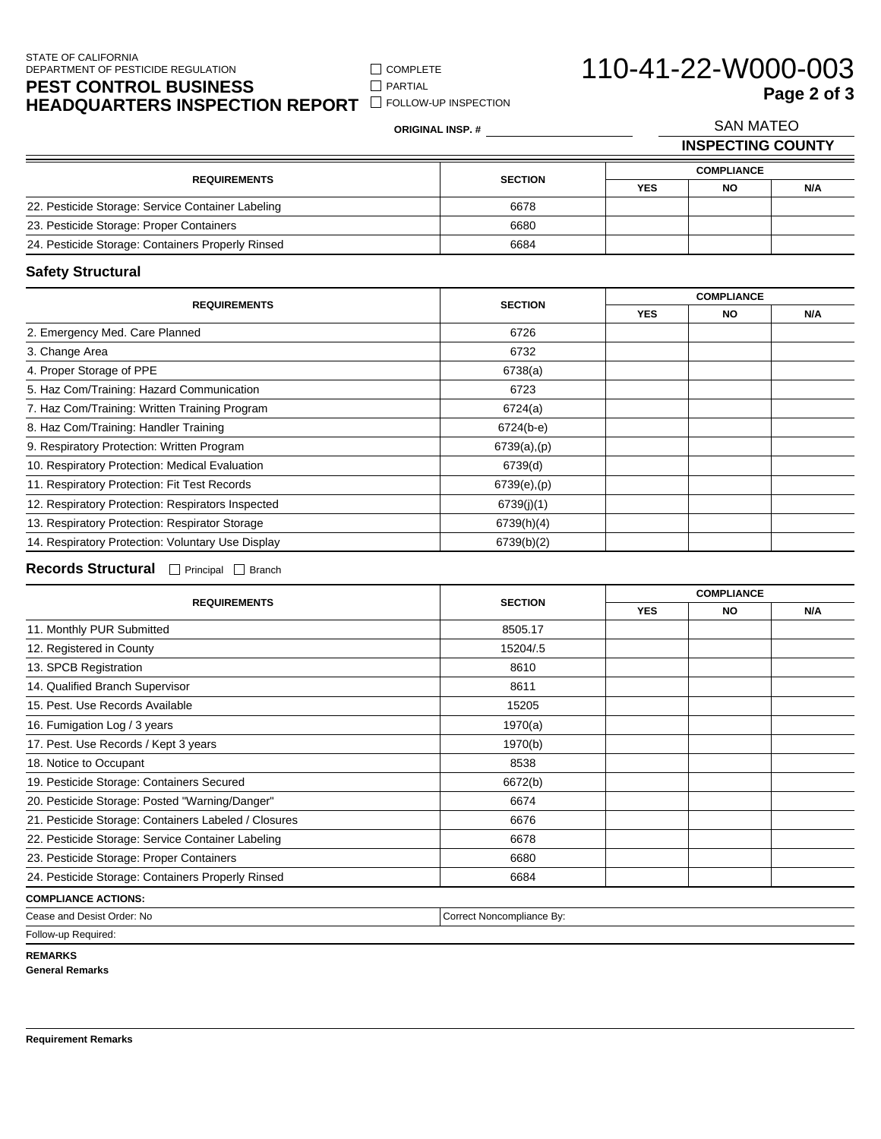### STATE OF CALIFORNIA DEPARTMENT OF PESTICIDE REGULATION

**PEST CONTROL BUSINESS HEADQUARTERS INSPECTION REPORT** FOLLOW-UP INSPECTION  $\hfill\Box$ <br> <br> PARTIAL

**ORIGINAL INSP. #**

COMPLETE

| 110-41-22-W000-003 |             |
|--------------------|-------------|
|                    | Page 2 of 3 |

**INSPECTING COUNTY** SAN MATEO **Page 2 of 3**

| <b>REQUIREMENTS</b>                               | <b>SECTION</b> | <b>COMPLIANCE</b> |           |     |
|---------------------------------------------------|----------------|-------------------|-----------|-----|
|                                                   |                | <b>YES</b>        | <b>NO</b> | N/A |
| 22. Pesticide Storage: Service Container Labeling | 6678           |                   |           |     |
| 23. Pesticide Storage: Proper Containers          | 6680           |                   |           |     |
| 24. Pesticide Storage: Containers Properly Rinsed | 6684           |                   |           |     |

## **Safety Structural**

| <b>REQUIREMENTS</b>                               |                 |            | <b>COMPLIANCE</b> |     |  |
|---------------------------------------------------|-----------------|------------|-------------------|-----|--|
|                                                   | <b>SECTION</b>  | <b>YES</b> | NO.               | N/A |  |
| 2. Emergency Med. Care Planned                    | 6726            |            |                   |     |  |
| 3. Change Area                                    | 6732            |            |                   |     |  |
| 4. Proper Storage of PPE                          | 6738(a)         |            |                   |     |  |
| 5. Haz Com/Training: Hazard Communication         | 6723            |            |                   |     |  |
| 7. Haz Com/Training: Written Training Program     | 6724(a)         |            |                   |     |  |
| 8. Haz Com/Training: Handler Training             | $6724(b-e)$     |            |                   |     |  |
| 9. Respiratory Protection: Written Program        | 6739(a),(p)     |            |                   |     |  |
| 10. Respiratory Protection: Medical Evaluation    | 6739(d)         |            |                   |     |  |
| 11. Respiratory Protection: Fit Test Records      | $6739(e)$ , (p) |            |                   |     |  |
| 12. Respiratory Protection: Respirators Inspected | 6739(j)(1)      |            |                   |     |  |
| 13. Respiratory Protection: Respirator Storage    | 6739(h)(4)      |            |                   |     |  |
| 14. Respiratory Protection: Voluntary Use Display | 6739(b)(2)      |            |                   |     |  |

Records Structural **Principal Branch** 

|                                                      |                           |            | <b>COMPLIANCE</b> |     |  |
|------------------------------------------------------|---------------------------|------------|-------------------|-----|--|
| <b>REQUIREMENTS</b>                                  | <b>SECTION</b>            | <b>YES</b> | <b>NO</b>         | N/A |  |
| 11. Monthly PUR Submitted                            | 8505.17                   |            |                   |     |  |
| 12. Registered in County                             | 15204/.5                  |            |                   |     |  |
| 13. SPCB Registration                                | 8610                      |            |                   |     |  |
| 14. Qualified Branch Supervisor                      | 8611                      |            |                   |     |  |
| 15. Pest. Use Records Available                      | 15205                     |            |                   |     |  |
| 16. Fumigation Log / 3 years                         | 1970(a)                   |            |                   |     |  |
| 17. Pest. Use Records / Kept 3 years                 | 1970(b)                   |            |                   |     |  |
| 18. Notice to Occupant                               | 8538                      |            |                   |     |  |
| 19. Pesticide Storage: Containers Secured            | 6672(b)                   |            |                   |     |  |
| 20. Pesticide Storage: Posted "Warning/Danger"       | 6674                      |            |                   |     |  |
| 21. Pesticide Storage: Containers Labeled / Closures | 6676                      |            |                   |     |  |
| 22. Pesticide Storage: Service Container Labeling    | 6678                      |            |                   |     |  |
| 23. Pesticide Storage: Proper Containers             | 6680                      |            |                   |     |  |
| 24. Pesticide Storage: Containers Properly Rinsed    | 6684                      |            |                   |     |  |
| <b>COMPLIANCE ACTIONS:</b>                           |                           |            |                   |     |  |
| Cease and Desist Order: No                           | Correct Noncompliance By: |            |                   |     |  |

Follow-up Required:

**REMARKS**

**General Remarks**